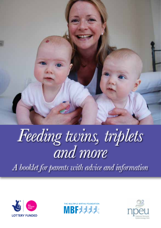

# *Feeding twins, triplets and more*

*A booklet for parents with advice and information*





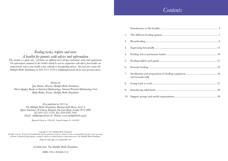### *Contents*

| 1.  |                  |
|-----|------------------|
| 2.  |                  |
| 3.  |                  |
| 4.  |                  |
| 5.  |                  |
| 6.  |                  |
| 7.  | and formula milk |
| 8.  |                  |
| 9.  |                  |
| 10. |                  |

*Feeding twins, triplets and more A booklet for parents with advice and information This booklet is a guide only - all babies are different and will have individual needs and requirements. The information contained in this booklet should be used in conjunction with advice from health care professionals such as your health visitor, midwife or breastfeeding advisor. You may also contact the Multiple Births Foundation on 020 3313 3519 or mbf@imperial.nhs.uk for more personal advice.*

*Written by Jane Denton, Director, Multiple Births Foundation Maria Quigley, Reader in Statistical Epidemiology, National Perinatal Epidemiology Unit Biddy Ridley, Trustee, Multiple Births Foundation*

*First published in 2011 by: The Multiple Births Foundation, Hammersmith House, Level 4, Queen Charlotte's & Chelsea Hospital, Du Cane Road, London W12 0HS Tel: 020 3313 3519 Fax: 020 8383 3041 Email: mbf@imperial.nhs.uk Website: www.multiplebirths.org.uk*

*Registered Charity no: 1094546 Limited Company No: 4426289*

*Copyright © 2011 Multiple Births Foundation All rights reserved. No part of this publication may be reproduced, stored in a retrieval system or transmitted in any form or by any means, electronic, mechanical, photocopying, recording or otherwise, without the prior written permission of the Multiple Births Foundation. Images by Gaby Jeffs www.magnetofilms.com*

*Available from: The Multiple Births Foundation*

ISBN: 978-1-902068-17-6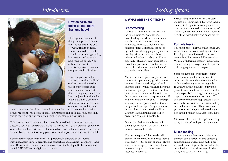### *Introduction*

# *Feeding options*



### **How on earth am I going to feed more than one baby?**

This is probably one of the thoughts uppermost in your mind as you await the birth of twins, triplets or more. You're quite right to think about it and to start gathering information and advice to help you plan ahead. Not only are the nutritional aspects important: there are also practical implications.

However, you needn't be anxious about this. While it's obviously true that feeding two or more babies takes more time and organisation than feeding one, it should be just as enjoyable and fulfilling. It can be a family event too. Mothers of newborn babies often feel very isolated and

their partners can feel shut out at a time when they want to get involved. With twins or more, there's no risk of that. Your partner can be of real help, especially during the night, and so could your mother or sister or a close friend.

This booklet aims to set your mind at rest. It should help to answer the many questions you may have before the birth as well as serving as a practical guide once your babies are born. Our aim is for you to feel confident about feeding and caring for your babies in whatever way you choose, so that you can enjoy them to the full.

Remember: whatever your worries or problems, the professionals - nurses, midwives, health visitors, breastfeeding counsellors and advisors - are there to help you. Don't hesitate to ask! You may also contact the Multiple Births Foundation on 020 3313 3519 or mbf@imperial.nhs.uk

### **1. WHAT ARE THE OPTIONS?**

### **Breastfeeding**

Breastmilk is best for babies, and that includes multiples. Not only does breastfeeding provide all the nutrients your babies need; it also contains antibodies from you which help them fight infections. Colostrum, produced by the breasts during pregnancy and the first days after the babies are born, is thicker and richer than breastmilk and especially valuable to new-born babies. It contains proteins and antibodies from the mother which increase the babies' own resistance to illness.

Many twins and triplets are premature. Breastmilk is particularly good for them because it is more easily digested and tolerated than formula milk and helps the underdeveloped gut to mature. But these babies may not be able to breastfeed at first, so you may need to express your milk and have it fed to your baby(ies) through a fine tube which goes into their tummy, or by a bottle or cup. (We give you more information about expressing milk in Chapter 3 and about feeding sick or premature babies in Chapter 4.)

Giving your babies some breastmilk each day, even for a short time, is better than no breastmilk at all.

**56 56** being able to help with feeding. **45** The next chapter of this booklet will describe the many ways of breastfeeding twins and how the supply of milk - always a worry for prospective mothers of more than one baby - actually increases in response to demand.

Breastfeeding your babies for at least six months is recommended. However, there is no need to feel guilty or inadequate if you can't or don't want to do it. For a variety of personal, physical or medical reasons, some parents of twins, triplets and quads opt for:

### **Formula feeding**

You might choose formula milk because you wish to share the task of feeding with others If both parents are involved, for instance, each baby will receive undivided attention. We deal with formula feeding - preparation of milk, feeding techniques and sterilisation of feeding equipment in Chapter 5.

Some mothers opt for formula feeding from the word go, but others start to consider it because they have difficulties with breastfeeding or expressing milk. If you are having difficulties but would prefer to continue breastfeeding, read the next chapter before you give up - it might be possible to solve your problems. If you definitely want to stop, discuss it with your midwife, health visitor, breastfeeding counsellor or advisor. They can advise you about stopping gradually so that you don't get a problem such as blocked ducts.

Of course, there is a third option, used by many parents of multiples at some stage:

### **Mixed feeding**

This is when you feed your babies using different combinations of breastfeeding, expressed milk and formula milk. This allows the advantages of breastmilk to be combined with the advantages of others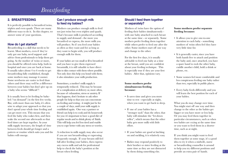# *Breastfeeding*

### **2. BREASTFEEDING**

It is perfectly possible to breastfeed twins, triplets and even quads. There are many different ways to do it. In this chapter, we answer some of your questions.

### **How do I get started?**

Breastfeeding is a skill that needs to be learnt. Most mothers, even if they've only got one baby, need support and advice from professionals to help them get going. As the mother of twins or more, you should be offered extra help, both in hospital and once you are back at home. It usually takes about 4 to 6 weeks to get breastfeeding fully established, though some mothers may manage it sooner. Some newborns are easier to feed than others and there may well be a difference between your babies but don't give up on a baby who seems "difficult"!

It is usually best to let feeding be babyled ("on demand") in the first few weeks. But, with more than one baby, it's often wise to adapt your approach so that you don't spend your whole time feeding and can get more rest. This means that you feed the baby who wakes first, and then wake the second one afterwards so that feed times are kept together. As your milk supply increases, the length of time between feeds should get longer and a pattern or routine which suits you and the babies will emerge.

### **Can I produce enough milk to feed my babies?**

Mothers can produce enough milk to feed not just twins but even triplets and quads. That's because milk is produced according to supply and demand - the more you breastfeed or express, the more milk you will produce. So if you feed your babies as often as they want and for as long as they want to begin with, you will produce enough milk for them.

If your babies are too small or ill to breastfeed and you have to give them expressed breastmilk, it is still valuable to have direct skin to skin contact with them where possible. Not only does this help you bond with them; it also stimulates your milk production.

Sometimes, a mother's milk supply is temporarily reduced. This may be because of a complication at delivery or, more often, because of exhaustion, stress or anxiety. If that happens, don't hesitate to ask other people for help so that you can concentrate on feeding and resting - it might just be for a couple of days, until your milk supply is established again. One way a partner or friend can help is to cook and do housework for you: it's important to have a good diet of regular meals and to drink plenty of fluids. This will help you feel less tired and enable you to cope better with any stress or worries.

**6 7** provide an extra pair of hands. A reduction in milk supply may also occur if you are not breastfeeding or expressing frequently enough. If your breasts still feel full after feeding your babies, then express any excess milk and ask for professional help to check the baby's position at the breast when feeding.

### **Should I feed them together or separately?**

Mothers of twins have the option of feeding their babies simultaneously with one baby attached to each breast at the same time - or separately. Some mothers prefer feeding them together while others prefer to feed one after the other. Some mothers start off one way and change to the other.

For the first few days, it is usually advisable to feed one baby at a time at the breast, until you are confident about your feeding technique. This is especially true if they are your first babies. After that, opinions vary.

### **Some mothers prefer simultaneous feeding because:**

- It saves time and gives you more time to rest - especially at night, when you want to get back to sleep.
- If one of your babies has a "stronger suck" than the other, that baby will stimulate the "let-down reflex", which means that the other baby gets more milk with little effort.
- If your babies are good at latching on and suckling, it is relatively easy.
- Babies may respond positively to their brother or sister feeding at the same time as they are not distracted by them doing something else.

### **Some mothers prefer separate feeding because:**

- It allows you to give one-to-one attention to each baby - something mothers of twins often feel they have very little time for.
- It is generally easier, since you have both hands free to attach and position the baby and, once attached, you have a spare hand to rock the other baby, cuddle another child, hold a drink or phone, etc.
- Some women feel more comfortable and less conspicuous feeding one baby rather than two, especially in public places.
- Every baby feeds differently and you will learn the best position for each of your babies.

What you do may change over time. You might start off one way and then change to the other as the babies get bigger or you have more or less help. Or you may feed them together in particular circumstances, such as when two babies are crying at the same time or you want to feed them in a shorter time, such as at night.

If you think you might want to feed them together at some stage, it's a good idea to try it when a midwife, nurse or breastfeeding counsellor is around to help you try different positions and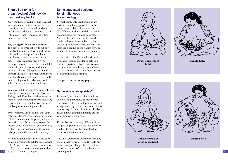### **Should I sit or lie for breastfeeding? And how do I support my back?**

Most mothers of multiples find it easiest to sit in a chair, at least during the day. Identify a comfortable chair and put the phone, a drink and something to eat within easy reach - you may be sitting there for some time.

### **Try using pillows and cushions.**

You may need extra pillows to support your back when you start breastfeeding. It is also helpful to position pillows on your knees to take the weight of the babies. Some mothers find a V- or U-shaped special feeding cushion helpful, while others prefer to use additional ordinary pillows. The pillows should support the babies, allowing you to move your hands freely. Take care not to make them too high as the baby may not be able to attach correctly to the breast.

You may find it easier to feed your baby(ies) when lying down, particularly if you are feeling tired, ill, or have had a caesarean section. Some mothers prefer to feed lying down so that they can, for instance, feed one baby while cuddling the other.

Even when you are confident that your babies are breastfeeding happily, you may still need someone to help you, at least in the early days - for instance, to pass the second baby to you when you are feeding both at once, or to look after the other baby(ies) when they are fed separately.

Both in hospital and once you are back home, don't forget to ask for professional help. As well as hospital and community staff, you may also find the organisations listed in Chapter 10 helpful.

**8**

### **Some suggested positions for simultaneous breastfeeding**

Several commonly used positions are shown on the facing page. Remember: there are no rules on how to do this. Try different positions and do whatever is comfortable for you and your babies. You may find that one position works really well to begin with, but you find another position works better a few weeks later, for example, as the babies grow or when your tummy stops feeling tender.

Again, ask a midwife, health visitor or a breastfeeding counsellor to help you try these positions. Try to involve your partner or any family support you have, so that they can help when there are no health professionals around.

**See pictures on facing page.**

### **Same side or swap sides?**

In general, it's better to alternate breasts when feeding multiples as each breast may have a different milk production and storage capacity. This ensures each breast receives equal stimulation from all babies. It also allows additional healing time if your nipples become sore.

If your babies have very different birth weights or growth patterns then they are unlikely to have similar breastfeeding patterns and techniques.

You and your babies will find the feeding pattern that works for you. It would only be necessary to change this if you have a problem or any of your babies are not growing well.



**Double underarm hold** 



**Cradle hold**



**Double cradle or criss-cross hold**



**V-shaped hold** 

**9**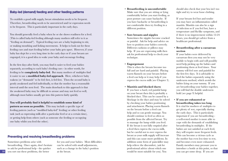To establish a good milk supply, breast stimulation needs to be frequent. Therefore, breastfeeding needs to be unrestricted and/or expression needs to be frequent. This is particularly important in the early days.

You should generally feed a baby when he or she shows readiness for a feed. (This is called baby-led feeding although many mothers still refer to it as "feeding on demand"). Typical feeding cues are a baby beginning to stir, or making mouthing and licking movements. It helps to look out for these feeding cues and start feeding before your baby gets upset. However, if your baby has slept for a very long time in the early days or if your breasts are engorged, it is a good idea to wake your baby and encourage feeding.

In the first days after birth, you may find it easier to feed your babies separately, according to each baby's feeding cues - in other words, for feeding to be **completely baby-led**. But many mothers of multiples find it easier to use a **modified baby-led approach**. Here, whichever baby wakens (or "demands" to be fed) first, is fed first. Then the second baby is gently awakened and fed individually, so that the mother has a reasonable interval until the next feed. The main drawback to this approach is that the awakened baby may be difficult to arouse and may not feed so well, although most babies usually get into this pattern fairly quickly.

**You will probably find it helpful to establish some kind of pattern as soon as possible.** This may include a specific type of feeding pattern (such as "modified baby-led" feeding) or other feeding task (such as expressing milk after a particular feed or at a certain time), or getting help from others (such as someone else feeding or occupying one baby whilst you feed the other).

### **Preventing and resolving breastfeeding problems**

Sometimes problems arise with breastfeeding. Once again, don't hesitate to ask for professional help - the quicker

10 you sort out these problems, the better at the breast. for you and your babies. Most difficulties can be solved with small adjustments, such as a change in the baby's position at the breast.

- **Breastfeeding is uncomfortable**  Make sure that you are sitting or lying comfortably before you start feeding, as poor posture can cause backache. If you have backache or breastfeeding is not comfortable then try feeding in a different position.
- **Sore breasts and nipples**

Sometimes the nipples become cracked or painful. Ask for help and advice on how to position your babies correctly. Different cushions or pillows may help. If you are expressing milk then ask for professional help to check your technique.

#### • **Engorgement**

This is when the breasts become too full and are hard and painful. Placing warm flannels on your breasts before a feed can help or it may help if you express the excess milk (see Chapter 3).

• **Mastitis and blocked ducts** 

If you have a hard, red painful lump on your breast then this is probably a blocked duct. This can be caused by a blockage in the duct and may be solved by checking your babies positioning and attachment. Placing warm flannels on the breasts before a feed can help and so can gentle massage. You should continue to feed as often as possible from the affected breast. Try to massage the lump while you feed. If the breast is not fully emptied after a feed then express the excess milk, but be careful not to over express the breast as your milk supply will increase and this can cause more problems. In addition some form of pain-killer may help relieve the discomfort, (ask for professional advice about which one would be most suitable for you). You

should also check that your bra isn't too tight and try to wear loose clothing.

If your breasts feel hot and tender you may have an inflammation called mastitis. Mastitis can also be a sign of infection so if you feel hot, have a temperature and flu-like symptoms, and if there is no improvement within 12-24 hours, you should get advice from a healthcare professional.

### • **Breastfeeding after a caesarean section**

If your babies were delivered by caesarean then you may not be very mobile to begin with and will possibly need help picking up the babies and positioning them at feed times. Your tummy will feel sore and painful for the first few days. It is advisable to feed the babies separately using the underarm method, which avoids the babies lying on your tummy. If you are breastfeeding your babies together, you will find the double underarm hold (see page 9) helpful.

### • **If you are exhausted or breastfeeding takes too long**

It is vital for mothers of multiples to get plenty of rest, especially during the early days. This is particularly important if you are breastfeeding a well-rested mother is more able to cope with the demands of establishing breastfeeding in multiples. If the babies are not satisfied at each feed, they will require more frequent feeds. This can become a vicious cycle as the mother has even less time to rest, and becomes even more exhausted. Family members may pressure you to introduce a bottle at this point, so that you can get some sleep. If you are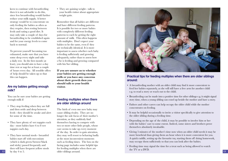keen to continue with breastfeeding then it is not advisable to do this, since less breastfeeding would further reduce your milk supply. A better strategy would be to concentrate on only feeding the babies as often as they require, then resting between feeds and eating a good diet. It may only take a couple of days for breastfeeding to be established again and for your energy levels to come back to normal.

To prevent yourself becoming too exhausted, make sure that you have some sleep every night and take a daily rest. In the first month (at least), you should aim to have a day time rest or nap for at least a couple of hours every day. All sensible offers of help should be taken up so that this can happen.

### **Are my babies getting enough milk?**

You can be sure your babies are getting enough milk if:

- They stop feeding when they are full and then settle and sleep between feeds - they should be awake and alert for some of the time.
- They have plenty of wet nappies each day - most babies have 6 to 8 wet nappies each day.
- They have normal stools breastfed babies start off with meconium (which is dark green/brown/black and sticky) passed frequently and then will have frequent yellow stools by day 4 to 5.

• They are gaining weight - talk to your health visitor about appropriate weight gain.

Remember that all babies are different and have different feeding patterns. It is possible for two or more babies with completely different feeding patterns to each be getting the right amount of milk. This often happens with multiples. Don't expect your babies to be the same, even if they are technically identical. It is more important to assess whether each baby is feeding sufficiently and growing adequately, rather than to assess how s/he is feeding and growing compared with his/her sibling.

**If you are unsure as to whether your babies are getting enough milk or you have any concerns about their growth then you should talk to your health visitor.**

### **Feeding multiples when there are older siblings around**

**12 13** older siblings around. The birth of even one new baby may cause sibling rivalry. They are no longer the sole focus of their mother's attention, as they suddenly find themselves having to compete with two or more other little people, whose care seems to take up every moment of the day. In order to gain attention, they may well resort to behaving badly at the most inconvenient moments such as feeding times. The box on the facing page includes some helpful tips for feeding multiples when there are



### **Practical tips for feeding multiples when there are older siblings around:**

- A breastfeeding mother with an older child may find it more convenient to feed her babies separately, as she will still have a free arm for another child e.g. to read a story or reach out to the child.
- Breastfeeding can be made into a positive time for other siblings e.g. it might signal story time, when a young sibling can crawl up beside the mother and have a story.
- Fathers and other carers can help occupy the older child while the mother concentrates on feeding.
- It may be helpful occasionally to invite a visitor specifically to give attention to the older sibling during a feeding time.
- Depending on the age of the child, it may be possible to involve him or her with the babies' care to some extent. Indeed, some sisters and brothers prove themselves absolutely invaluable.
- Giving 5 minutes of the mother's time now when an older child needs it may be more beneficial than giving them an hour when it is more convenient for you. A quick cuddle, setting up the favourite toy, starting them off doing homework, may occupy them sufficiently so that you can look after the babies.
- Feeding time may signal the time for a treat such as being allowed to watch the TV or a DVD.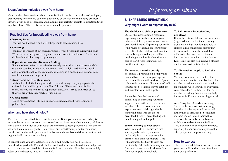### **Breastfeeding multiples away from home**

Many mothers have anxieties about breastfeeding in public. For mothers of multiples, breastfeeding two or more babies in public may be an even more daunting prospect. However, with good preparation and planning, it is perfectly possible to breastfeed twins in public places. The box below includes some helpful tips:

### **Practical tips for breastfeeding away from home**

### • **Nursing bras:**

You will need at least 3 or 4 well-fitting, comfortable nursing bras.

• **Clothing:** 

You may be worried about revealing parts of your breasts and tummy in public. Wear clothes which provide easy and discreet access to the breasts. The babies' clothes should allow easy nappy changing.

### • **Separate versus simultaneous feeding:**

Some mothers prefer to breastfeed separately rather than simultaneously while out and about because it is more discreet. And it might be difficult to attach and position the babies for simultaneous feeding in a public place, without your usual chair, cushion, helpers, etc.

### • **Breastfeeding-friendly places:**

Make a list of all the local places where breastfeeding is easy e.g. a particular café or infant/toddler group or a friend's house. There are breastfeeding rooms in some supermarkets, department stores, etc. Try to plan trips out so that you are within easy reach of such places.

### • **Going alone:**

Try to have someone with you until are confident about breastfeeding in a public place.

### **When and how should I stop?**

The ideal is to breastfeed for at least six months. But if you want to stop earlier, for instance because you are going back to work or you have simply had enough, talk it over with a professional such as your health visitor or breastfeeding counsellor. Don't worry: she won't make you feel guilty. (Remember: any breastfeeding is better than none.) But she will be able to help you avoid problems, such as a blocked duct or mastitis that might arise if you stop too suddenly.

**14 15** adjust before dropping another breastfeed. In general, once you have established a good milk supply, you need to reduce breastfeeding gradually. When the babies are less than six months old, the usual practice is to change one breastfeed for a formula feed per day and to allow the breasts to fully

### **3. EXPRESSING BREAST MILK Why might I want to express my milk?**

#### **Your babies are sick or premature**

One of the most common reasons for expressing your milk is because your babies are sick or premature and cannot breastfeed directly. Expressing your milk will provide breastmilk for your babies' feeds. It will also establish and maintain your milk supply so that you will be producing enough milk when they are able to start breastfeeding directly. See the next chapter.

### **To increase my milk supply**

Breastmilk is produced on a supply and demand basis - the more you express the more milk you will produce. If your babies only require small amounts of milk you still need to express fully to establish and maintain your milk supply.

Remember that the best way of establishing or increasing your milk supply is to breastfeed, if your babies are able. There is no need to use expressing to establish a good milk supply in babies who are able to breastfeed directly - breastfeeding will establish a good milk supply.

#### **When learning to breastfeed**

When you and your babies are first learning to breastfeed, you may find it helpful to hand express a few drops of milk onto your nipple. This will encourage the baby to latch on, particularly if the baby is hungry and gets frustrated when your milk doesn't flow from your nipple immediately.

### **To help relieve breastfeeding problems**

If your breasts feel full and uncomfortable (engorged) and the babies are having trouble attaching, then it might help to express a little milk before attempting to breastfeed. The milk should flow a bit easier then and the babies may find it easier to attach to a softer breast. Expressing can also help relieve a blocked duct or mastitis (see Chapter 2).

### **To allow other people to feed the babies**

You may want to express milk so that someone else can feed your babies. This may be something you do occasionally, for example, when you will be away from your babies for a few hours or longer. It may be something that you do regularly, for example, if you are returning to work.

### **As a (long term) feeding strategy:**

Some mothers choose to (exclusively) feed their babies expressed breast milk rather than to breastfeed. Sometimes mothers choose to feed their babies expressed breast milk in combination with breast and/or formula feedings. This is particularly common in multiples, especially higher order multiples, so that other people can help with feeding.

### **How to express**

There are several different ways to express your breastmilk and mothers often have their own preference: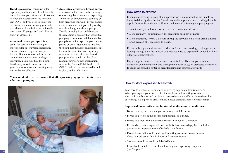- **Hand expression** this is useful for expressing small amounts of milk from the breast for example, before the milk comes in when the babies are on the neonatal unit (NNU) and you need to collect the colostrum, when encouraging your baby to latch on, or for relieving uncomfortable breasts (see "Engorgement" and "Blocked ducts" in Chapter 2).
- **A manual breast pump** this is useful for occasional expressing or more regular or long-term expressing. Suction is created by squeezing a handle. Some mothers find this to be quite tiring if they are expressing for a long time. Make sure that the pump has the appropriate funnel size for your breasts, otherwise expressing may hurt or be less effective.
- **An electric or battery breast pump**  - this is useful for occasional expressing or more regular or long-term expressing. These can do simultaneous pumping of both breasts, if you wish. If your babies are in a neonatal unit, you will probably use a hospital-grade electric pump. Double pumping from both breasts at the same time is quicker than sequential pumping, so you may find that a double pump is useful for expressing over a long period of time. Again, make sure that the pump has the appropriate funnel size for your breasts, otherwise expressing may hurt or be less effective. Electric pumps can be bought or hired from manufacturers or other organisations such as the National Childbirth Trust (NCT). Staff on the unit should be able to give you this information.

### **You should take care to ensure that all expressing equipment is sterilised after each pumping.**



### **How often to express**

If you are expressing to establish milk production while your babies are unable to breastfeed directly, then the first 2 weeks are really important in establishing the milk supply. Your milk production is likely to be increased if feeding and pumping are:

- Initiated early preferably within the first 6 hours after delivery.
- Done regularly approximately the same time each day or night.
- Done frequently every 2-3 hours during the day with a 4-6 hour break at night, or an average of 8 times per 24 hours.

If your milk supply is already established and you are expressing as a longer term feeding strategy, then the number of times you need to express will depend on how often you will breastfeed.

Expressing can be used to supplement breastfeeding. For example, you may breastfeed one baby directly and then give the other baby(ies) expressed breastmilk. If this is the case, it is better to breastfeed first and express afterwards.

### **How to store expressed breastmilk**

Take care to sterilise all feeding and expressing equipment (see Chapter 7). When you express your breast milk, it must be stored in a fridge or freezer. Most of its antibodies and nutritional properties are not affected by refrigeration or freezing. So expressed breast milk is almost as good as direct breastfeeding.

### **Expressed breastmilk must be stored under certain conditions:**

- For up to 5 days in the main part of a fridge, at 4°C or lower.
- For up to 2 weeks in the freezer compartment of a fridge.
- For up to 6 months in a domestic freezer, at minus 18<sup>o</sup>C or lower.
- If you wish to store expressed breastmilk for less than 5 days, then the fridge preserves its properties more effectively than freezing.
- Frozen breastmilk should be thawed in a fridge or using lukewarm water. Once thawed, use within 24 hours and never re-freeze.
- Store expressed breastmilk in labelled bottles.
- Care should be taken to sterilise all feeding and expressing equipment (see Chapter 7).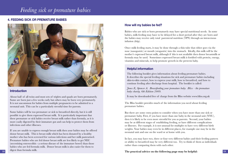### *Feeding sick or premature babies*

### **4. FEEDING SICK OR PREMATURE BABIES**



### **Introduction**

About half of all twins and most sets of triplets and quads are born prematurely. Some are born just a few weeks early but others may be born very prematurely. It is not uncommon for babies from multiple pregnancies to be admitted to a neonatal unit. This can be a particularly stressful time for parents.

Some babies will be too premature or sick to breastfeed directly, but it is still possible to give them expressed breast milk. It is particularly important that these premature or sick babies receive breast milk rather than formula, as it is more easily digested by their immature gut and can help to protect them from infections and other illnesses.

If you are unable to express enough breast milk then your babies may be offered donor breast milk. This is breast milk which has been donated by a healthy mother who has been screened for various infections and her milk pasteurised. Premature babies who are fed donor breast milk are less likely to get NEC (necrotising enterocolitis - a serious disease of the immature bowel) than those babies who are fed formula milk. Donor breast milk is also easier for them to digest than formula milk.

### **How will my babies be fed?**

Babies who are sick or born prematurely may have special nutritional needs. In some babies, milk feeding may have to be delayed for a short period after they are born and the babies may receive only total parenteral nutrition (TPN) through an intravenous infusion (drip).

Once milk feeding starts, it may be done through a thin tube that either goes via the nose (nasogastric) or mouth (orogastric) into the stomach. Ideally, this milk will be the mother's expressed breast milk, although if this is not available then donor breastmilk or formula may be used. Sometimes expressed breast milk is fortified with protein, energy, vitamins and minerals, to help promote growth in the preterm baby.

### **Helpful information**

The following booklet gives information about feeding premature babies. It describes the special feeding situations for sick and premature babies including skin-to-skin contact, how to express your milk, how to breastfeed, and how to continue feeding after discharge from hospital. The booklet is called:

*Jones E, Spencer A. Breastfeeding your premature baby. Bliss - the premature baby charity, 6th Edition 2009.*

It may be downloaded free of charge from the Bliss website www.bliss.org.uk

The Bliss booklet provides much of the information you need about feeding premature babies.

But there are some extra points to consider when you have more than one sick or premature baby. First, if you have more than one baby in the neonatal unit (NNU), then it is likely to be even more stressful for you as parents. Second, your babies may be at different stages of establishing feeding, or have different complications or illnesses. For example, it is not unusual for multiples to have very different birth weights. Your babies may even be in different places, for example one may be in the neonatal unit and one on the ward or at home with you.

In fact, you may have two, three or four very different babies and their feeding pattern or ability to breastfeed may be very different too. Try to think of them as individuals rather than comparing them with each other.

**18 19 19 199 1999 1999 1999 1999 1999 1999 1999 1999 1999 1999 1999 1999 1999 1999 1999 1999 1999 1999 1999 1999 1999 1999 1999 1999 1999 1999 1999 1999 1999**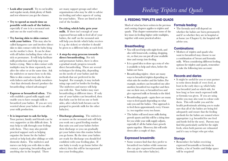- **Look after yourself.** Try to eat healthy and regular meals, drink plenty of fluids and rest whenever you get the chance.
- **Try to spend as much time as possible with each of the babies**, especially if one is in a neonatal unit and one on the ward with you.
- **Try having skin to skin contact with your babies.** This may also be called kangaroo care and involves direct skin to skin contact with the baby lying on the mother's chest. It can be done with all babies including those who are sick or premature. It will help facilitate milk production and help stop your babies crying. Skin to skin contact with multiples may be done separately, one after the other or at the same time. Ask the midwives or nurses how to do this. Skin to skin contact may also be done with fathers and other family members - but that obviously doesn't produce the breastfeeding- related advantages!
- **Express or breastfeed often.** This will establish a good milk supply and enable you to have enough milk to breastfeed your babies. If you are very worried about your babies it can affect your milk production.
- **It is important to ask for help.**  Your partner, family and friends can be very supportive at this difficult time. It may help to talk through your feelings with them. They may also provide practical support such as helping organise the home for the babies' arrival or help look after siblings or with domestic duties. The midwives and nurses can help you with skin to skin contact, expressing, breastfeeding and

are many support groups and other organisations who may be able to advise on feeding and other aspects of caring for your babies. These are listed at the end of the booklet.

- **Deciding which baby gets your milk.** If there isn't enough of your expressed breast milk to feed all of your babies, the staff on the neonatal unit will help you decide which baby receives it (e.g. the sickest) or whether it should be given to a different baby at each feed.
- **A step-by-step process towards direct breastfeeding.** For sick and premature babies, there is often a gradual steady progress towards direct breastfeeding. There are several techniques for doing this, depending on the needs of your babies and the methods that are preferred in the hospital. For example, it may include using cups and/or bottles for feeding. The midwives and nurses will help you with this. Your babies may start breastfeeding at different times. If only one of your babies can breastfeed, then that baby can be fed on one or both sides, after which both breasts can be pumped to provide milk for the other baby(ies).
- **20 21** anything else in the hospital. There • **Discharge planning.** The midwives or nurses on the neonatal unit will help you work out a good feeding routine that suits you and your babies before their discharge so you can gradually get your babies into this routine before you go home. By the time your babies are ready for discharge you should feel confident with your feeding plan. If one baby is ready to go home before the other(s) then this will be incorporated into your feeding plan.

# *Feeding Triplets and Quads*

### **5. FEEDING TRIPLETS AND QUADS**

Much of what has been written in the previous and coming chapters applies to triplets and quads. This chapter summarises some of the key issues in feeding higher order multiples, together with some practical advice.

### **Breastfeeding:**

- You will need help with night feeds, and also with housework, cooking, shopping, etc, so that you can put all your available time and energy into feeding.
- It is a good idea to draw up a rota of who is available to help and when, before the babies are born.
- Breastfeeding triplets there are many ways to breastfeed triplets depending on what suits the mother and the babies. For example, mothers can breastfeed one after another, breastfeed two together and then one on their own, or breastfeed two and give expressed milk or formula to the third.
- Breastfeeding quads again there are many ways to feed quads depending on what suits you and the babies. One approach is to feed them approximately every 4 hours i.e. two together every two hours.
- The babies will need more milk during growth spurts and this will be a tiring time for you while your milk supply adjusts, especially if all the babies have growth spurts together. However, this will settle down after a couple of days.

### **Expressed breastmilk:**

• Some women find that they prefer to breastfeed two babies while someone else can give expressed breastmilk or formula to the other baby(ies).

### **Formula feeding:**

• The formula used will depend on whether the babies are born prematurely and if so whether they are in hospital or at home (see Chapter 6), the hospital will advise you.

### **Combinations:**

• Mothers of triplets and quads who want to breastfeed may choose to use a combination of breast and formula milk. When considering different feeding options for triplets and quads, remember to take the following into account:

### **Records and diaries**

• It might be useful for you or your partner to write down details of every feed, at least in the early days e.g. which baby was breastfed (and on which side, for how long) or how much expressed milk or formula was given. If you are using bottles you may also want to colour code them. This will enable you and the health professionals advising you to make sure that all of the babies are being fed adequately and ensure that the feeding methods for the babies are rotated where appropriate (e.g. breastfed for one feed and bottle fed for the next). Parents may find this particularly useful for the night feeds, when both parents are exhausted and it's easy to forget who got what.

### **Storage**

• Remember: for babies receiving expressed breastmilk or formula in bottles, a lot of bottles and fridge space will be required!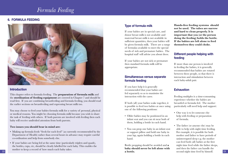### *Formula Feeding*

### **6. FORMULA FEEDING**



### **Introduction**

This chapter refers to formula feeding. The **preparation of formula milk** and the **sterilisation of feeding equipment** are covered in Chapter 7 and should be read first. If you are combining breastfeeding and formula feeding, you should read the earlier sections on breastfeeding and expressing breast milk too.

You may choose to feed your babies formula milk for a variety of personal, physical or medical reasons. You might be choosing formula milk because you wish to share the task of feeding with others. If both parents are involved with feeding then each baby will receive undivided attention from both parents.

### **Two issues you should bear in mind are:**

- Making up formula feeds "fresh for each feed" (as currently recommended by the Department of Health) rather than several hours in advance may require careful co-ordination and help from somebody else.
- If your babies are being fed at the same time (particularly triplets and quads), the bottles, cups, etc, should be clearly labelled for each baby. This enables the mother to keep a record of how much each baby takes.

### **Type of formula milk**

If your babies are in special care, and donor breast milk is not available and maternal breast milk is not available in sufficient quantities, then your babies will be given formula milk. There are a range of formulas available to meet the special needs of sick and premature babies. The hospital staff will advise you about these.

If your babies are not sick or premature then standard formula milk will be appropriate.

### **Simultaneous versus separate formula feeding**

If you have help it is generally recommended that your babies are fed separately so as to maximise the interaction with the carer.

If both (all) your babies wake together, it is possible to feed two babies at once using one of the following positions:

- Older babies may be positioned in an infant seat and you can sit near both of them, holding a bottle in each hand.
- You can prop one baby in an infant seat or support pillow and hold one baby in your lap, again holding a bottle in each hand.

**22 23** second night time feed by himself. Bottle propping should be avoided and **a baby should never be left alone with a bottle.**

**Hands-free feeding systems should not be used. The tubes are narrow and hard to clean properly. It is important that you (or the person doing the feeding) holds the bottle. If the babies are left alone to feed themselves they could choke.**

### **Different people helping with feeding**

If more than one person is involved in feeding the babies, it is generally recommended that babies are rotated between these people, so that there is interaction and stimulation between each baby-adult pair.

### **Exhaustion**

Feeding multiples is a time-consuming experience whether the babies are breastfed or formula fed. The mother particularly will need help and support:

- One way is to let someone else help with feeding or preparation of formula.
- The father (or anyone else) may be able to help with night time feeding. For example, it is possible for both mother and father to have periods of uninterrupted sleep e.g. the mother can feed both (all) babies at the first night time feed while the father sleeps, and then the father can handle the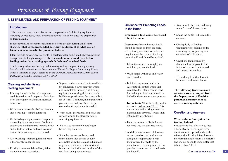### **7. STERILISATION AND PREPARATION OF FEEDING EQUIPMENT**

### **Introduction**

This chapter covers the sterilisation and preparation of all feeding equipment, including bottles, teats, cups, and breast pumps. It also includes the preparation of formula milk.

In recent years, the recommendations on how to prepare formula milk have changed. **What is recommended now may be different to what you or friends or relatives did for previous babies.** 

Infant formula powders are not sterile. Therefore, water boiled at a higher temperature than previously thought is required. **Feeds should now be made just before feeding rather than making up a whole 24 hours' worth of feeds.** 

The following advice on cleaning and sterilising feeding equipment and preparing formula milk is taken from the Department of Health for England's current guidance, which is available at: *http://www.dh.gov.uk/en/Publicationsandstatistics/Publications/ PublicationsPolicyAndGuidance/DH\_100887*

### **Cleaning and sterilising feeding equipment:**

- It is very important that all equipment used for feeding and preparing feeds has been thoroughly cleaned and sterilised before use.
- Wash hands thoroughly before cleaning and sterilising feeding equipment.
- Wash feeding and preparation equipment thoroughly in hot soapy water. Bottle and teat brushes should be used to scrub inside and outside of bottles and teats to ensure that all the remaining feed is removed.
- After washing feeding equipment rinse it thoroughly under the tap.
- **24 25** teat from being contaminated. • If using a commercial steriliser, follow manufacturer's instructions.
- If your bottles are suitable for sterilising by boiling: fill a large pan with water and completely submerge all feeding equipment, ensuring there are no air bubbles trapped; cover the pan and boil for at least 10 minutes, making sure the pan does not boil dry. Keep the pan covered until equipment is needed.
- Wash hands thoroughly and clean the surface around the steriliser before removing equipment.
- It is best to remove the bottles just before they are used.
- If the bottles are not being used immediately, they should be fully assembled with the teat and lid in place to prevent the inside of the sterilised bottle and the inside and outside of the

### **Guidance for Preparing Feeds in the Home**

**Preparing a feed using powdered infant formula:** 

**Important:** Normally each bottle should be made up fresh for each feed. Storing made-up formula milk may increase the chance of a baby becoming ill and should be avoided.

- Clean the surface thoroughly on which to prepare the feed.
- Wash hands with soap and water and then dry.
- Boil fresh tap water in a kettle. Alternatively bottled water that is suitable for infants can be used for making up feeds and should be boiled in the same way as tap water.
- **Important:** Allow the boiled water to cool to no less than 70º C. This means in practice using water that has been left, covered, for less than 30 minutes after boiling.
- Pour the amount of boiled water required into the sterilised bottle.
- Add the exact amount of formula as instructed on the label always using the scoop provided with the powdered formula by the manufacturer. Adding more or less powder than instructed could make the baby ill.
- Re-assemble the bottle following manufacturer's instructions.
- Shake the bottle well to mix the contents.
- Cool quickly to feeding temperature by holding under a running tap, or placing in a container of cold water.
- Check the temperature by shaking a few drops onto the inside of your wrist - it should feel lukewarm, not hot.
- Discard any feed that has not been used within two hours.

**The following Questions and Answers are also copied from the Department of Health's guidance and may help to answer your questions:**

### **Question and Answers**

### **What is the safest option for feeding babies?**

Breastmilk is the safest way to feed a baby. Ready to use liquid feeds are sterile until opened and are the safest option if using infant formula. Powdered infant formula is not sterile and should be made using water that is hotter than 70° C.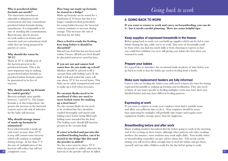### **Why is powdered infant formula not sterile?**

The bacterium enterobacter sakazakii is ubiquitous in the environment and may contaminate powdered infant formula during manufacture. It is impossible to be sure of avoiding this contamination. Bacteria may also be present on work surfaces in homes and nurseries and can contaminate feeds while they are being prepared by parents or carers.

### **Why should the water be 70° C?**

Water at 70° C will kill most of the bacteria present in the powdered formula. This is the most important step in making up powdered infant formula as powdered infant formula cannot be guaranteed to be free of bacteria.

### **Why should made up formula be cooled quickly?**

Bacteria multiply most quickly between 7 and 63° C. The longer formula is at this temperature, the greater the increase in the bacterial content and so the risk of infection for the baby will increase.

### **Why should storage times of made up formula be minimised?**

Even when formula is made up with water at more than 70° C it may still contain some bacteria which will continue to multiply during storage. At less than 5° C the rate of multiplication of the bacteria will reduce but will not completely cease.

### **How long can made up formula be stored in a fridge?**

Made up formula can be stored for a maximum of 24 hours but this is no longer considered ideal particularly for young babies because the bacterial content continues to increase during storage. This increases the risk of infection for the baby.

### **Once a feed is ready for feeding, how long before it should be discarded?**

Discard any feed that has not been used within 2 hours. All left-over feed should be discarded and never saved for later.

**If you are out and cannot boil water how do you make up a feed?**  Mothers should be advised to fill a vacuum flask with boiling water. If the flask is full and sealed the water will stay above 70° C for several hours. This flask can be safely transported and used to make up a feed when necessary.

### **Do vacuum flasks need to be sterilised if they are used to store boiled water for making up a feed later?**

No, the vacuum flasks do not need to be sterilised but they should be washed thoroughly and rinsed with boiling water before being filled with boiling water intended for the feed. The boiling water should kill bacteria present in the vacuum flask.

### **If water is boiled and put into the sterilised feeding bottles, can it be stored in the fridge like this until the powder is added?**

**26 27** bacteria in the powder will not be killed. No, the water must be above 70° C when the powder is added, otherwise the

### *Going back to work*

### **8. GOING BACK TO WORK**

**If you want to return to work and carry on breastfeeding, you can do it - but it needs careful planning. Here are some helpful tips:**

### **Keep supplies of expressed breastmilk in the freezer**

Before going back to work, you can build up supplies which can be fed to your babies during the day, while you're at work. This store of breastmilk could be from when you had too much milk or from choosing to express so that you could feel confident you were still giving your babies the best when you returned to work.

### **Prepare your babies**

It's a good idea to introduce the occasional bottle in plenty of time before you go back to work so that the babies get used to feeding from a bottle.

### **Make sure replacement feeders are fully informed**

Carer(s) who are feeding the babies your milk need to know the rules for storing expressed breastmilk or making up formula and sterilisation. They also need to know of any issues specific to feeding multiples: twins may have their own labelled bottles and may have different feeding patterns.

### **Expressing at work**

If you want to express at work, your employer must find a suitable room and allow you sufficient time to do it. Your employer should be aware that expressing for multiples will probably take longer and require more equipment (bottles, storage space) than for singletons.

### **Breastfeeding before and after work**

Many working mothers breastfeed directly before going to work in the morning and in the evening on their return, although other patterns suit other working mothers (for instance, some mothers may work night shifts). Your health visitor or breastfeeding counsellor can give advice about this. This needs careful timing: you will need to allow enough time to feed the babies and get them, yourself and any older children ready for the day before going to work.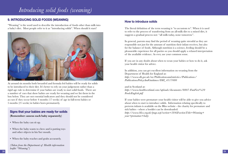# *Introducing solid foods (weaning)*

### **9. INTRODUCING SOLID FOODS (WEANING)**

"Weaning" is the word used to describe the introduction of foods other than milk into a baby's diet. Most people refer to it as "introducing solids". When should it start?



At around six months both breastfed and formula fed babies will be ready for solids to be introduced to their diet. It's better to rely on your judgement rather than a rigid age rule to determine if your babies are ready to start solid foods. There are a number of cues that show babies are ready for weaning and we list them in the box below. They are not essential indicators and they should not be considered as cues if they occur before 4 months (17 weeks) of age in full-term babies or 5 months (21 weeks) in babies born prematurely.

### **Signs that your babies are ready for solids**

**(Remember: assess each baby separately)**

- When the baby can sit up.
- When the baby wants to chew and is putting toys and other objects in his/her mouth.
- When the baby reaches and grabs accurately.

*(Taken from the Department of Health information leaflet "Weaning")* 

### **How to introduce solids**

The literal definition of the term weaning is "to accustom to". When it is used to refer to the process of transferring from an all-milk diet to a mixed diet, it suggests a gradual process not: "all milk today, none tomorrow".

In general, parents may find the period of weaning quite stressful as they are responsible not just for the amount of nutrition their infant receives, but also for the balance of foods. Although nutrition is a science, feeding should be a pleasurable experience for all parties so you should apply a relaxed interpretation of the available evidence. As ever, use your common sense.

If you are in any doubt about when to wean your babies or how to do it, ask your health visitor for advice.

In addition, you can get excellent information on weaning from the Department of Health for England at: *http://www.dh.gov.uk/en/Publicationsandstatistics/Publications/ PublicationsPolicyAndGuidance/DH\_4117080*

and in Scotland at: *http://www.healthscotland.com/uploads/documents/8807-FunFirst%20 FoodsEnglish.pdf*

If your babies were premature your health visitor will be able to give you advice about when to start to introduce solids. Information relating specifically to preterm infants is available on the Bliss website - the charity for premature and sick babies - where a booklet can be downloaded: *http://www.bliss.org.uk/page.asp?section=584&sectionTitle=Weaning+*

*your+premature+baby*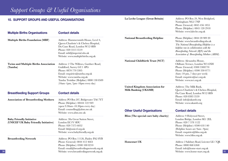#### **30 31** Website: www.breastfeedingnetwork.org.uk **10. SUPPORT GROUPS AND USEFUL ORGANISATIONS Multiple Births Organisations 6 Contact details Multiple Births Foundation (MBF)** Address: Hammersmith House, Level 4, Queen Charlotte's & Chelsea Hospital, Du Cane Road, London W12 0HS Phone: 020 3313 3519 Email: mbf@imperial.nhs.uk Website: www.multiplebirths.org.uk **Twins and Multiple Births Association** Address: 2 The Willows, Gardner Road, **(Tamba)** Guildford, Surrey GU1 4PG Phone: 0870 770 3305 Email: enquiries@tamba.org.uk Website: www.tamba.org.uk Tamba Twinline (Helpline): 0800 138 0509 (10am -1pm, 7pm -10pm every day) **Breastfeeding Support Groups Contact details Association of Breastfeeding Mothers** Address: PO Box 207, Bridgewater TA6 7YT Phone (Helpline): 08444 122 949 (open 9.30am -10.30pm every day) Email: counselling@abm.me.uk Website: www.abm.me.uk **Baby Friendly Initiative Address: 30a Great Sutton Street, (UNICEF UK Baby Friendly Initiative)** London EC1V 0DU Phone: 020 7375 6052 Email: bfi@unicef.org.uk Website: www.babyfriendly.org.uk **Breastfeeding Network** Address: PO Box 11126, Paisley PA2 8YB Phone (General): 0844 412 4664 Phone (Helpline): 0300 100 0210 Email: email@breastfeedingnetwork.org.uk *Support Groups & Useful Organisations* **La Leche League (Great Britain)** Address: PO Box 29, West Bridgford, Nottingham NG2 7NP. Phone (General): 0845 456 1855 Phone (Helpline): 0845 120 2918 Website: www.laleche.org.uk **National Breastfeeding Helpline** Phone (Helpline): 0844 20 909 20 Website: www.breastfeeding.nhs.uk *The National Breastfeeding Helpline is a helpline run in collaboration with the Breastfeeding Network (BfN) and the Association of Breastfeeding Mothers (ABM).*  **National Childbirth Trust (NCT)** Address: Alexandra House, Oldham Terrace, London W3 6NH Phone (General): 0300 3300770 Phone (Helpline): 0300 330 0771 (8am -10 pm, 7 days per week) Email: enquiries@nct.org.uk Website: www.nct.org.uk **United Kingdom Association for** Address: The Milk Bank, **Milk Banking (UKAMB)** Queen Charlotte's & Chelsea Hospital, Du Cane Road, London W12 0HS Phone: 020 8383 3559 Email: info@ukamb.org Website: www.ukamb.org **Other Useful Organisations Contact details Bliss (The special care baby charity)** Address: 9 Holyrood Street, London Bridge, London SE1 2EL Phone: 020 7 378 1122 Phone (Helpline): 0500 618 140 (Helpline hours are 9am - 9pm) Email: enquiries@bliss.org.uk Website: www.bliss.org.uk **Homestart UK** Address: 2 Salisbury Road, Leicester LE1 7QR Phone: 0800 068 6368 Email: info@home-start.org.uk Website: www.home-start.org.uk